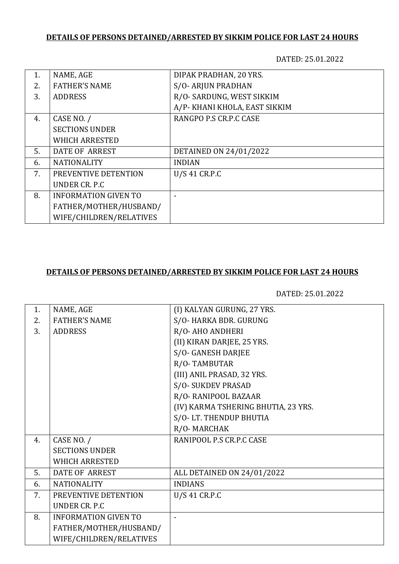## **DETAILS OF PERSONS DETAINED/ARRESTED BY SIKKIM POLICE FOR LAST 24 HOURS**

DATED: 25.01.2022

| 1.  | NAME, AGE                   | DIPAK PRADHAN, 20 YRS.        |
|-----|-----------------------------|-------------------------------|
| 2.5 | <b>FATHER'S NAME</b>        | S/O-ARJUN PRADHAN             |
| 3.  | <b>ADDRESS</b>              | R/O- SARDUNG, WEST SIKKIM     |
|     |                             | A/P- KHANI KHOLA, EAST SIKKIM |
| 4.  | CASE NO. /                  | RANGPO P.S CR.P.C CASE        |
|     | <b>SECTIONS UNDER</b>       |                               |
|     | <b>WHICH ARRESTED</b>       |                               |
| 5.  | DATE OF ARREST              | DETAINED ON 24/01/2022        |
| 6.  | <b>NATIONALITY</b>          | <b>INDIAN</b>                 |
| 7.  | PREVENTIVE DETENTION        | $U/S$ 41 CR.P.C               |
|     | UNDER CR. P.C.              |                               |
| 8.  | <b>INFORMATION GIVEN TO</b> |                               |
|     | FATHER/MOTHER/HUSBAND/      |                               |
|     | WIFE/CHILDREN/RELATIVES     |                               |

## **DETAILS OF PERSONS DETAINED/ARRESTED BY SIKKIM POLICE FOR LAST 24 HOURS**

DATED: 25.01.2022

| 1. | NAME, AGE                   | (I) KALYAN GURUNG, 27 YRS.          |
|----|-----------------------------|-------------------------------------|
| 2. | <b>FATHER'S NAME</b>        | S/O-HARKA BDR. GURUNG               |
| 3. | <b>ADDRESS</b>              | R/O-AHO ANDHERI                     |
|    |                             | (II) KIRAN DARJEE, 25 YRS.          |
|    |                             | S/O- GANESH DARJEE                  |
|    |                             | R/O-TAMBUTAR                        |
|    |                             | (III) ANIL PRASAD, 32 YRS.          |
|    |                             | <b>S/O- SUKDEV PRASAD</b>           |
|    |                             | R/O-RANIPOOL BAZAAR                 |
|    |                             | (IV) KARMA TSHERING BHUTIA, 23 YRS. |
|    |                             | S/O-LT. THENDUP BHUTIA              |
|    |                             | R/O-MARCHAK                         |
| 4. | CASE NO. /                  | RANIPOOL P.S CR.P.C CASE            |
|    | <b>SECTIONS UNDER</b>       |                                     |
|    | <b>WHICH ARRESTED</b>       |                                     |
| 5. | <b>DATE OF ARREST</b>       | ALL DETAINED ON 24/01/2022          |
| 6. | <b>NATIONALITY</b>          | <b>INDIANS</b>                      |
| 7. | PREVENTIVE DETENTION        | U/S 41 CR.P.C                       |
|    | <b>UNDER CR. P.C</b>        |                                     |
| 8. | <b>INFORMATION GIVEN TO</b> |                                     |
|    | FATHER/MOTHER/HUSBAND/      |                                     |
|    | WIFE/CHILDREN/RELATIVES     |                                     |